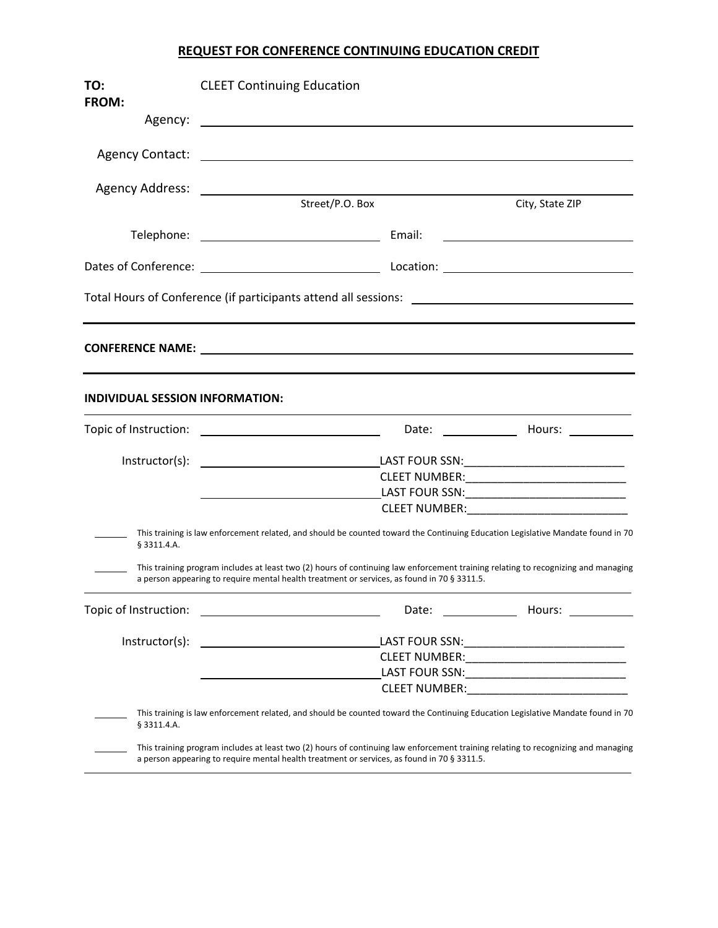## **REQUEST FOR CONFERENCE CONTINUING EDUCATION CREDIT**

| TO:                                    | <b>CLEET Continuing Education</b>                                                                                                                                                                                                |                                                                                                                                                                                                                                |                                                            |
|----------------------------------------|----------------------------------------------------------------------------------------------------------------------------------------------------------------------------------------------------------------------------------|--------------------------------------------------------------------------------------------------------------------------------------------------------------------------------------------------------------------------------|------------------------------------------------------------|
| FROM:                                  |                                                                                                                                                                                                                                  |                                                                                                                                                                                                                                |                                                            |
| Agency:                                | <u> 1989 - Johann John Stone, markin f</u>                                                                                                                                                                                       |                                                                                                                                                                                                                                |                                                            |
| <b>Agency Contact:</b>                 | <u> 1980 - Andrea Andrew Maria (h. 1980).</u>                                                                                                                                                                                    |                                                                                                                                                                                                                                |                                                            |
|                                        |                                                                                                                                                                                                                                  |                                                                                                                                                                                                                                |                                                            |
|                                        | Street/P.O. Box                                                                                                                                                                                                                  |                                                                                                                                                                                                                                | City, State ZIP                                            |
|                                        |                                                                                                                                                                                                                                  |                                                                                                                                                                                                                                | <u> 2002 - Jan James Barnett, fransk politik (d. 1878)</u> |
|                                        |                                                                                                                                                                                                                                  |                                                                                                                                                                                                                                |                                                            |
|                                        |                                                                                                                                                                                                                                  |                                                                                                                                                                                                                                |                                                            |
|                                        |                                                                                                                                                                                                                                  |                                                                                                                                                                                                                                |                                                            |
| <b>INDIVIDUAL SESSION INFORMATION:</b> |                                                                                                                                                                                                                                  |                                                                                                                                                                                                                                |                                                            |
| Topic of Instruction:                  | <u> 1990 - Johann Barbara, martin a</u>                                                                                                                                                                                          |                                                                                                                                                                                                                                | Date: Hours:                                               |
|                                        |                                                                                                                                                                                                                                  |                                                                                                                                                                                                                                |                                                            |
|                                        |                                                                                                                                                                                                                                  |                                                                                                                                                                                                                                |                                                            |
|                                        |                                                                                                                                                                                                                                  |                                                                                                                                                                                                                                |                                                            |
|                                        |                                                                                                                                                                                                                                  | CLEET NUMBER: NAME OF STREET AND THE STREET AND THE STREET AND THE STREET AND THE STREET AND THE STREET AND THE STREET AND THE STREET AND THE STREET AND THE STREET AND THE STREET AND THE STREET AND THE STREET AND THE STREE |                                                            |
| $§$ 3311.4.A.                          | This training is law enforcement related, and should be counted toward the Continuing Education Legislative Mandate found in 70                                                                                                  |                                                                                                                                                                                                                                |                                                            |
|                                        | This training program includes at least two (2) hours of continuing law enforcement training relating to recognizing and managing<br>a person appearing to require mental health treatment or services, as found in 70 § 3311.5. |                                                                                                                                                                                                                                |                                                            |
| Topic of Instruction:                  |                                                                                                                                                                                                                                  | Date:                                                                                                                                                                                                                          | Hours:                                                     |
| Instructor(s):                         | <u> 1980 - John Stein, amerikansk politiker (</u>                                                                                                                                                                                |                                                                                                                                                                                                                                |                                                            |
|                                        |                                                                                                                                                                                                                                  |                                                                                                                                                                                                                                |                                                            |
|                                        |                                                                                                                                                                                                                                  |                                                                                                                                                                                                                                |                                                            |
|                                        |                                                                                                                                                                                                                                  | CLEET NUMBER: WAS ARRESTED FOR A STRIKE AND THE STRIKE AND THE STRIKE AND THE STRIKE AND THE STRIKE AND THE ST                                                                                                                 |                                                            |
| § 3311.4.A.                            | This training is law enforcement related, and should be counted toward the Continuing Education Legislative Mandate found in 70                                                                                                  |                                                                                                                                                                                                                                |                                                            |
|                                        | This training program includes at least two (2) hours of continuing law enforcement training relating to recognizing and managing<br>a person appearing to require mental health treatment or services, as found in 70 § 3311.5. |                                                                                                                                                                                                                                |                                                            |